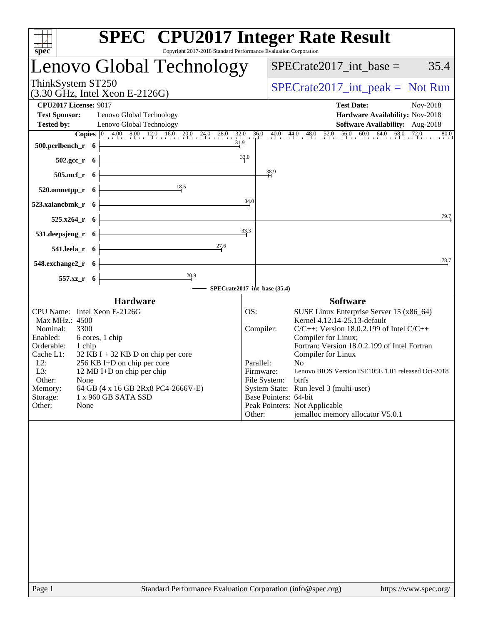|                                                                                                                                                                                                                                                                                                                                                                                      | <b>SPEC<sup>®</sup> CPU2017 Integer Rate Result</b>                                                                                                                                                                                                                                                                                                                                                                                                                                                                     |
|--------------------------------------------------------------------------------------------------------------------------------------------------------------------------------------------------------------------------------------------------------------------------------------------------------------------------------------------------------------------------------------|-------------------------------------------------------------------------------------------------------------------------------------------------------------------------------------------------------------------------------------------------------------------------------------------------------------------------------------------------------------------------------------------------------------------------------------------------------------------------------------------------------------------------|
| Copyright 2017-2018 Standard Performance Evaluation Corporation<br>spec<br>Lenovo Global Technology                                                                                                                                                                                                                                                                                  | 35.4<br>$SPECrate2017\_int\_base =$                                                                                                                                                                                                                                                                                                                                                                                                                                                                                     |
| ThinkSystem ST250<br>$(3.30 \text{ GHz}, \text{Intel Xeon E-2126G})$                                                                                                                                                                                                                                                                                                                 | $SPECrate2017\_int\_peak = Not Run$                                                                                                                                                                                                                                                                                                                                                                                                                                                                                     |
| <b>CPU2017 License: 9017</b><br><b>Test Sponsor:</b><br>Lenovo Global Technology<br><b>Tested by:</b><br>Lenovo Global Technology<br>31.9<br>500.perlbench_r<br>- 6                                                                                                                                                                                                                  | <b>Test Date:</b><br>Nov-2018<br>Hardware Availability: Nov-2018<br>Software Availability: Aug-2018<br><b>Copies</b> $\begin{bmatrix} 0 & 4.00 & 8.00 & 12.0 & 16.0 & 20.0 & 24.0 & 28.0 & 32.0 & 36.0 & 40.0 & 44.0 & 48.0 & 52.0 & 56.0 & 60.0 & 64.0 & 68.0 & 72.0 \end{bmatrix}$<br>80.0                                                                                                                                                                                                                            |
| $502.\text{gcc}_r$ 6                                                                                                                                                                                                                                                                                                                                                                 | 33.0                                                                                                                                                                                                                                                                                                                                                                                                                                                                                                                    |
| 505.mcf_r 6                                                                                                                                                                                                                                                                                                                                                                          | 38.9                                                                                                                                                                                                                                                                                                                                                                                                                                                                                                                    |
| 18.5<br>520.omnetpp_r<br>- 6                                                                                                                                                                                                                                                                                                                                                         |                                                                                                                                                                                                                                                                                                                                                                                                                                                                                                                         |
| 523.xalancbmk_r<br>- 6                                                                                                                                                                                                                                                                                                                                                               | 34.0<br>79.7                                                                                                                                                                                                                                                                                                                                                                                                                                                                                                            |
| $525.x264_r$ 6<br>531.deepsjeng_r 6                                                                                                                                                                                                                                                                                                                                                  | 33.3                                                                                                                                                                                                                                                                                                                                                                                                                                                                                                                    |
| 27.6<br>$541.$ leela_r 6                                                                                                                                                                                                                                                                                                                                                             |                                                                                                                                                                                                                                                                                                                                                                                                                                                                                                                         |
| 548.exchange2_r 6                                                                                                                                                                                                                                                                                                                                                                    | <u>78,</u> 7                                                                                                                                                                                                                                                                                                                                                                                                                                                                                                            |
| $\frac{20.9}{4}$<br>557.xz_r 6                                                                                                                                                                                                                                                                                                                                                       | SPECrate2017_int_base (35.4)                                                                                                                                                                                                                                                                                                                                                                                                                                                                                            |
| <b>Hardware</b>                                                                                                                                                                                                                                                                                                                                                                      | <b>Software</b>                                                                                                                                                                                                                                                                                                                                                                                                                                                                                                         |
| CPU Name: Intel Xeon E-2126G<br>Max MHz.: 4500<br>Nominal:<br>3300<br>Enabled:<br>6 cores, 1 chip<br>Orderable:<br>1 chip<br>Cache L1:<br>$32$ KB I + 32 KB D on chip per core<br>256 KB I+D on chip per core<br>$L2$ :<br>L3:<br>12 MB I+D on chip per chip<br>Other:<br>None<br>Memory:<br>64 GB (4 x 16 GB 2Rx8 PC4-2666V-E)<br>Storage:<br>1 x 960 GB SATA SSD<br>Other:<br>None | OS:<br>SUSE Linux Enterprise Server 15 (x86_64)<br>Kernel 4.12.14-25.13-default<br>$C/C++$ : Version 18.0.2.199 of Intel $C/C++$<br>Compiler:<br>Compiler for Linux;<br>Fortran: Version 18.0.2.199 of Intel Fortran<br>Compiler for Linux<br>Parallel:<br>N <sub>0</sub><br>Lenovo BIOS Version ISE105E 1.01 released Oct-2018<br>Firmware:<br>File System:<br>btrfs<br>System State: Run level 3 (multi-user)<br>Base Pointers: 64-bit<br>Peak Pointers: Not Applicable<br>jemalloc memory allocator V5.0.1<br>Other: |
|                                                                                                                                                                                                                                                                                                                                                                                      |                                                                                                                                                                                                                                                                                                                                                                                                                                                                                                                         |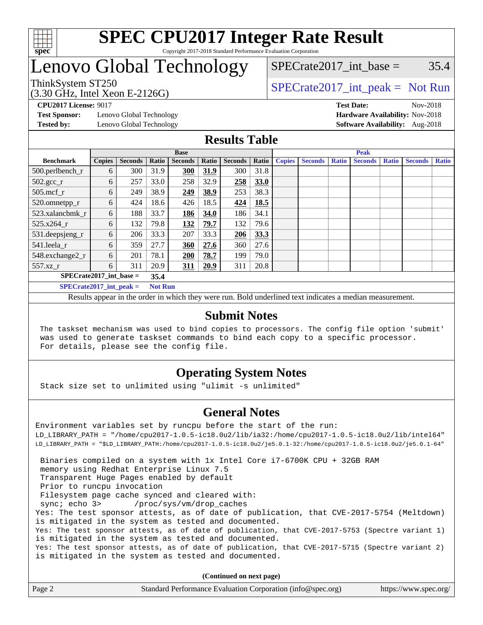

## Lenovo Global Technology

## SPECrate2017 int\_base =  $35.4$

(3.30 GHz, Intel Xeon E-2126G)

ThinkSystem ST250<br>  $SPECTI<sub>2</sub>126C$ <br>  $SPECTI<sub>2</sub>126C$ <br>  $SPECTI<sub>2</sub>126C$ 

**[Test Sponsor:](http://www.spec.org/auto/cpu2017/Docs/result-fields.html#TestSponsor)** Lenovo Global Technology **[Hardware Availability:](http://www.spec.org/auto/cpu2017/Docs/result-fields.html#HardwareAvailability)** Nov-2018

**[CPU2017 License:](http://www.spec.org/auto/cpu2017/Docs/result-fields.html#CPU2017License)** 9017 **[Test Date:](http://www.spec.org/auto/cpu2017/Docs/result-fields.html#TestDate)** Nov-2018 **[Tested by:](http://www.spec.org/auto/cpu2017/Docs/result-fields.html#Testedby)** Lenovo Global Technology **[Software Availability:](http://www.spec.org/auto/cpu2017/Docs/result-fields.html#SoftwareAvailability)** Aug-2018

### **[Results Table](http://www.spec.org/auto/cpu2017/Docs/result-fields.html#ResultsTable)**

|                               | <b>Base</b>   |                |       |                | <b>Peak</b> |                |             |               |                |              |                |              |                |              |
|-------------------------------|---------------|----------------|-------|----------------|-------------|----------------|-------------|---------------|----------------|--------------|----------------|--------------|----------------|--------------|
| <b>Benchmark</b>              | <b>Copies</b> | <b>Seconds</b> | Ratio | <b>Seconds</b> | Ratio       | <b>Seconds</b> | Ratio       | <b>Copies</b> | <b>Seconds</b> | <b>Ratio</b> | <b>Seconds</b> | <b>Ratio</b> | <b>Seconds</b> | <b>Ratio</b> |
| 500.perlbench_r               | 6             | 300            | 31.9  | 300            | 31.9        | 300            | 31.8        |               |                |              |                |              |                |              |
| $502.\text{sec}$ <sub>r</sub> | 6             | 257            | 33.0  | 258            | 32.9        | 258            | <b>33.0</b> |               |                |              |                |              |                |              |
| $505$ .mcf r                  | 6             | 249            | 38.9  | 249            | 38.9        | 253            | 38.3        |               |                |              |                |              |                |              |
| 520.omnetpp_r                 | 6             | 424            | 18.6  | 426            | 18.5        | 424            | 18.5        |               |                |              |                |              |                |              |
| 523.xalancbmk_r               | 6             | 188            | 33.7  | 186            | 34.0        | 186            | 34.1        |               |                |              |                |              |                |              |
| 525.x264 r                    | 6             | 132            | 79.8  | 132            | 79.7        | 132            | 79.6        |               |                |              |                |              |                |              |
| 531.deepsjeng_r               | 6             | 206            | 33.3  | 207            | 33.3        | 206            | 33.3        |               |                |              |                |              |                |              |
| 541.leela r                   | 6             | 359            | 27.7  | 360            | 27.6        | 360            | 27.6        |               |                |              |                |              |                |              |
| 548.exchange2_r               | 6             | 201            | 78.1  | 200            | 78.7        | 199            | 79.0        |               |                |              |                |              |                |              |
| 557.xz                        | 6             | 311            | 20.9  | 311            | 20.9        | 311            | 20.8        |               |                |              |                |              |                |              |
| $SPECrate2017$ int base =     |               |                |       |                |             |                |             |               |                |              |                |              |                |              |
| $SPECrate2017\_int\_peak =$   |               |                |       | <b>Not Run</b> |             |                |             |               |                |              |                |              |                |              |

Results appear in the [order in which they were run](http://www.spec.org/auto/cpu2017/Docs/result-fields.html#RunOrder). Bold underlined text [indicates a median measurement](http://www.spec.org/auto/cpu2017/Docs/result-fields.html#Median).

### **[Submit Notes](http://www.spec.org/auto/cpu2017/Docs/result-fields.html#SubmitNotes)**

 The taskset mechanism was used to bind copies to processors. The config file option 'submit' was used to generate taskset commands to bind each copy to a specific processor. For details, please see the config file.

## **[Operating System Notes](http://www.spec.org/auto/cpu2017/Docs/result-fields.html#OperatingSystemNotes)**

Stack size set to unlimited using "ulimit -s unlimited"

### **[General Notes](http://www.spec.org/auto/cpu2017/Docs/result-fields.html#GeneralNotes)**

Environment variables set by runcpu before the start of the run: LD\_LIBRARY\_PATH = "/home/cpu2017-1.0.5-ic18.0u2/lib/ia32:/home/cpu2017-1.0.5-ic18.0u2/lib/intel64" LD\_LIBRARY\_PATH = "\$LD\_LIBRARY\_PATH:/home/cpu2017-1.0.5-ic18.0u2/je5.0.1-32:/home/cpu2017-1.0.5-ic18.0u2/je5.0.1-64" Binaries compiled on a system with 1x Intel Core i7-6700K CPU + 32GB RAM memory using Redhat Enterprise Linux 7.5 Transparent Huge Pages enabled by default Prior to runcpu invocation Filesystem page cache synced and cleared with: sync; echo 3> /proc/sys/vm/drop\_caches Yes: The test sponsor attests, as of date of publication, that CVE-2017-5754 (Meltdown) is mitigated in the system as tested and documented. Yes: The test sponsor attests, as of date of publication, that CVE-2017-5753 (Spectre variant 1) is mitigated in the system as tested and documented. Yes: The test sponsor attests, as of date of publication, that CVE-2017-5715 (Spectre variant 2) is mitigated in the system as tested and documented.

**(Continued on next page)**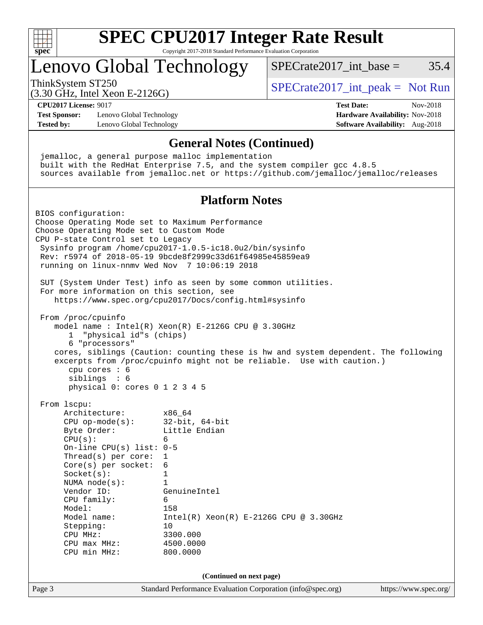

# **[SPEC CPU2017 Integer Rate Result](http://www.spec.org/auto/cpu2017/Docs/result-fields.html#SPECCPU2017IntegerRateResult)**

Copyright 2017-2018 Standard Performance Evaluation Corporation

## Lenovo Global Technology

ThinkSystem ST250  $SPECrate2017$ \_int\_peak = Not Run

SPECrate  $2017$  int base = 35.4

(3.30 GHz, Intel Xeon E-2126G) **[CPU2017 License:](http://www.spec.org/auto/cpu2017/Docs/result-fields.html#CPU2017License)** 9017 **[Test Date:](http://www.spec.org/auto/cpu2017/Docs/result-fields.html#TestDate)** Nov-2018

**[Test Sponsor:](http://www.spec.org/auto/cpu2017/Docs/result-fields.html#TestSponsor)** Lenovo Global Technology **[Hardware Availability:](http://www.spec.org/auto/cpu2017/Docs/result-fields.html#HardwareAvailability)** Nov-2018 **[Tested by:](http://www.spec.org/auto/cpu2017/Docs/result-fields.html#Testedby)** Lenovo Global Technology **[Software Availability:](http://www.spec.org/auto/cpu2017/Docs/result-fields.html#SoftwareAvailability)** Aug-2018

### **[General Notes \(Continued\)](http://www.spec.org/auto/cpu2017/Docs/result-fields.html#GeneralNotes)**

 jemalloc, a general purpose malloc implementation built with the RedHat Enterprise 7.5, and the system compiler gcc 4.8.5 sources available from jemalloc.net or <https://github.com/jemalloc/jemalloc/releases>

### **[Platform Notes](http://www.spec.org/auto/cpu2017/Docs/result-fields.html#PlatformNotes)**

Page 3 Standard Performance Evaluation Corporation [\(info@spec.org\)](mailto:info@spec.org) <https://www.spec.org/> BIOS configuration: Choose Operating Mode set to Maximum Performance Choose Operating Mode set to Custom Mode CPU P-state Control set to Legacy Sysinfo program /home/cpu2017-1.0.5-ic18.0u2/bin/sysinfo Rev: r5974 of 2018-05-19 9bcde8f2999c33d61f64985e45859ea9 running on linux-nnmv Wed Nov 7 10:06:19 2018 SUT (System Under Test) info as seen by some common utilities. For more information on this section, see <https://www.spec.org/cpu2017/Docs/config.html#sysinfo> From /proc/cpuinfo model name : Intel $(R)$  Xeon $(R)$  E-2126G CPU @ 3.30GHz 1 "physical id"s (chips) 6 "processors" cores, siblings (Caution: counting these is hw and system dependent. The following excerpts from /proc/cpuinfo might not be reliable. Use with caution.) cpu cores : 6 siblings : 6 physical 0: cores 0 1 2 3 4 5 From lscpu: Architecture: x86\_64 CPU op-mode(s): 32-bit, 64-bit Byte Order: Little Endian  $CPU(s):$  6 On-line CPU(s) list: 0-5 Thread(s) per core: 1 Core(s) per socket: 6 Socket(s): 1 NUMA node(s): 1 Vendor ID: GenuineIntel CPU family: 6 Model: 158<br>Model name: 1158  $Intel(R)$  Xeon $(R)$  E-2126G CPU @ 3.30GHz Stepping: 10 CPU MHz: 3300.000 CPU max MHz: 4500.0000 CPU min MHz: 800.0000 **(Continued on next page)**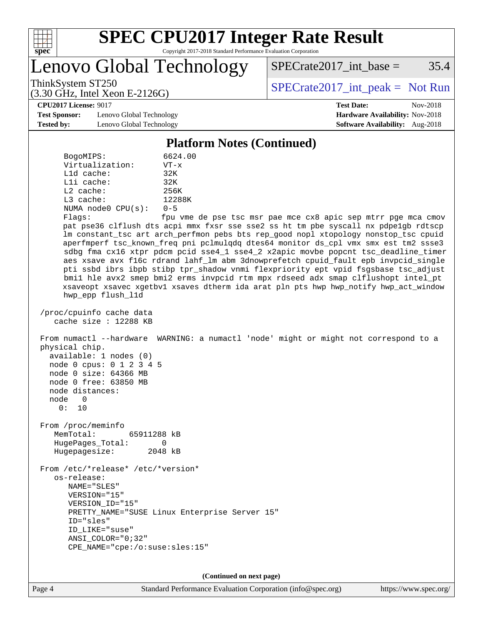

Lenovo Global Technology

 $SPECTate2017\_int\_base = 35.4$ 

(3.30 GHz, Intel Xeon E-2126G)

ThinkSystem ST250<br>  $SPECTI<sub>2</sub>126C$ <br>  $SPECTI<sub>2</sub>126C$ <br>  $SPECTI<sub>2</sub>126C$ 

**[CPU2017 License:](http://www.spec.org/auto/cpu2017/Docs/result-fields.html#CPU2017License)** 9017 **[Test Date:](http://www.spec.org/auto/cpu2017/Docs/result-fields.html#TestDate)** Nov-2018

**[Test Sponsor:](http://www.spec.org/auto/cpu2017/Docs/result-fields.html#TestSponsor)** Lenovo Global Technology **[Hardware Availability:](http://www.spec.org/auto/cpu2017/Docs/result-fields.html#HardwareAvailability)** Nov-2018 **[Tested by:](http://www.spec.org/auto/cpu2017/Docs/result-fields.html#Testedby)** Lenovo Global Technology **[Software Availability:](http://www.spec.org/auto/cpu2017/Docs/result-fields.html#SoftwareAvailability)** Aug-2018

**[Platform Notes \(Continued\)](http://www.spec.org/auto/cpu2017/Docs/result-fields.html#PlatformNotes)**

| BogoMIPS:               | 6624.00    |
|-------------------------|------------|
| Virtualization:         | $VT - x$   |
| $L1d$ cache:            | 32K        |
| Lli cache:              | 32K        |
| $L2$ cache:             | 256K       |
| $L3$ cache:             | 12288K     |
| NUMA $node0$ $CPU(s)$ : | $0 - 5$    |
| Flaqs:                  | fpu vme de |
|                         |            |

e pse tsc msr pae mce cx8 apic sep mtrr pge mca cmov pat pse36 clflush dts acpi mmx fxsr sse sse2 ss ht tm pbe syscall nx pdpe1gb rdtscp lm constant\_tsc art arch\_perfmon pebs bts rep\_good nopl xtopology nonstop\_tsc cpuid aperfmperf tsc\_known\_freq pni pclmulqdq dtes64 monitor ds\_cpl vmx smx est tm2 ssse3 sdbg fma cx16 xtpr pdcm pcid sse4\_1 sse4\_2 x2apic movbe popcnt tsc\_deadline\_timer aes xsave avx f16c rdrand lahf\_lm abm 3dnowprefetch cpuid\_fault epb invpcid\_single pti ssbd ibrs ibpb stibp tpr\_shadow vnmi flexpriority ept vpid fsgsbase tsc\_adjust bmi1 hle avx2 smep bmi2 erms invpcid rtm mpx rdseed adx smap clflushopt intel\_pt xsaveopt xsavec xgetbv1 xsaves dtherm ida arat pln pts hwp hwp\_notify hwp\_act\_window hwp\_epp flush\_l1d

 /proc/cpuinfo cache data cache size : 12288 KB

 From numactl --hardware WARNING: a numactl 'node' might or might not correspond to a physical chip. available: 1 nodes (0)

 node 0 cpus: 0 1 2 3 4 5 node 0 size: 64366 MB node 0 free: 63850 MB node distances: node 0

0: 10

 From /proc/meminfo MemTotal: 65911288 kB HugePages\_Total: 0 Hugepagesize: 2048 kB

 From /etc/\*release\* /etc/\*version\* os-release: NAME="SLES" VERSION="15" VERSION\_ID="15" PRETTY\_NAME="SUSE Linux Enterprise Server 15" ID="sles" ID\_LIKE="suse" ANSI\_COLOR="0;32" CPE\_NAME="cpe:/o:suse:sles:15"

**(Continued on next page)**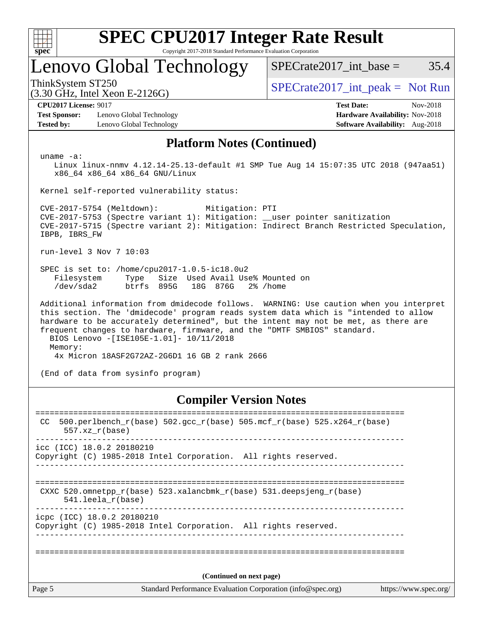| c<br>ŧ<br>ı |  |  |  |  |  |  |  |
|-------------|--|--|--|--|--|--|--|

## Lenovo Global Technology

ThinkSystem ST250<br>  $SPECTI<sub>2</sub>126C$ <br>  $SPECTI<sub>2</sub>126C$ <br>  $SPECTI<sub>2</sub>126C$ 

 $SPECTate2017\_int\_base = 35.4$ 

(3.30 GHz, Intel Xeon E-2126G)

**[Test Sponsor:](http://www.spec.org/auto/cpu2017/Docs/result-fields.html#TestSponsor)** Lenovo Global Technology **[Hardware Availability:](http://www.spec.org/auto/cpu2017/Docs/result-fields.html#HardwareAvailability)** Nov-2018 **[Tested by:](http://www.spec.org/auto/cpu2017/Docs/result-fields.html#Testedby)** Lenovo Global Technology **[Software Availability:](http://www.spec.org/auto/cpu2017/Docs/result-fields.html#SoftwareAvailability)** Aug-2018

**[CPU2017 License:](http://www.spec.org/auto/cpu2017/Docs/result-fields.html#CPU2017License)** 9017 **[Test Date:](http://www.spec.org/auto/cpu2017/Docs/result-fields.html#TestDate)** Nov-2018

### **[Platform Notes \(Continued\)](http://www.spec.org/auto/cpu2017/Docs/result-fields.html#PlatformNotes)**

uname -a:

 Linux linux-nnmv 4.12.14-25.13-default #1 SMP Tue Aug 14 15:07:35 UTC 2018 (947aa51) x86\_64 x86\_64 x86\_64 GNU/Linux

Kernel self-reported vulnerability status:

 CVE-2017-5754 (Meltdown): Mitigation: PTI CVE-2017-5753 (Spectre variant 1): Mitigation: \_\_user pointer sanitization CVE-2017-5715 (Spectre variant 2): Mitigation: Indirect Branch Restricted Speculation, IBPB, IBRS\_FW

run-level 3 Nov 7 10:03

 SPEC is set to: /home/cpu2017-1.0.5-ic18.0u2 Filesystem Type Size Used Avail Use% Mounted on /dev/sda2 btrfs 895G 18G 876G 2% /home

 Additional information from dmidecode follows. WARNING: Use caution when you interpret this section. The 'dmidecode' program reads system data which is "intended to allow hardware to be accurately determined", but the intent may not be met, as there are frequent changes to hardware, firmware, and the "DMTF SMBIOS" standard. BIOS Lenovo -[ISE105E-1.01]- 10/11/2018 Memory: 4x Micron 18ASF2G72AZ-2G6D1 16 GB 2 rank 2666

(End of data from sysinfo program)

## **[Compiler Version Notes](http://www.spec.org/auto/cpu2017/Docs/result-fields.html#CompilerVersionNotes)**

Page 5 Standard Performance Evaluation Corporation [\(info@spec.org\)](mailto:info@spec.org) <https://www.spec.org/> ============================================================================== CC 500.perlbench\_r(base)  $502.\text{gcc\_r}$ (base)  $505.\text{mcf\_r}$ (base)  $525.\text{x}$ 264\_r(base) 557.xz\_r(base) ----------------------------------------------------------------------------- icc (ICC) 18.0.2 20180210 Copyright (C) 1985-2018 Intel Corporation. All rights reserved. ------------------------------------------------------------------------------ ============================================================================== CXXC 520.omnetpp\_r(base) 523.xalancbmk\_r(base) 531.deepsjeng\_r(base) 541.leela\_r(base) ----------------------------------------------------------------------------- icpc (ICC) 18.0.2 20180210 Copyright (C) 1985-2018 Intel Corporation. All rights reserved. ------------------------------------------------------------------------------ ============================================================================== **(Continued on next page)**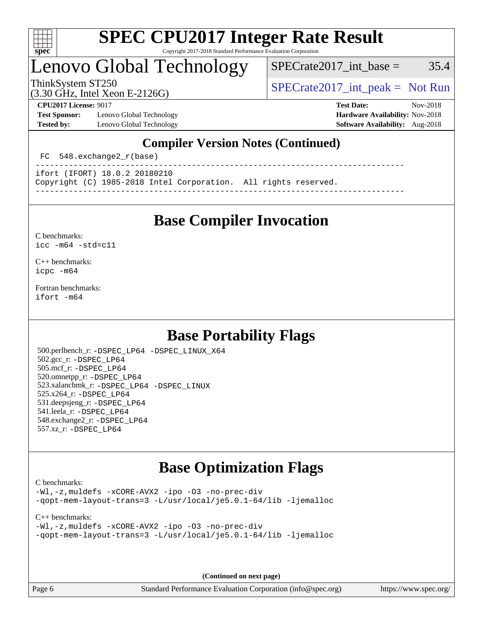

## Lenovo Global Technology

 $SPECrate2017\_int\_base = 35.4$ 

(3.30 GHz, Intel Xeon E-2126G)

ThinkSystem ST250<br>  $SPECTI<sub>2</sub>126C$ <br>  $SPECTI<sub>2</sub>126C$ <br>  $SPECTI<sub>2</sub>126C$ 

**[Test Sponsor:](http://www.spec.org/auto/cpu2017/Docs/result-fields.html#TestSponsor)** Lenovo Global Technology **[Hardware Availability:](http://www.spec.org/auto/cpu2017/Docs/result-fields.html#HardwareAvailability)** Nov-2018 **[Tested by:](http://www.spec.org/auto/cpu2017/Docs/result-fields.html#Testedby)** Lenovo Global Technology **[Software Availability:](http://www.spec.org/auto/cpu2017/Docs/result-fields.html#SoftwareAvailability)** Aug-2018

**[CPU2017 License:](http://www.spec.org/auto/cpu2017/Docs/result-fields.html#CPU2017License)** 9017 **[Test Date:](http://www.spec.org/auto/cpu2017/Docs/result-fields.html#TestDate)** Nov-2018

## **[Compiler Version Notes \(Continued\)](http://www.spec.org/auto/cpu2017/Docs/result-fields.html#CompilerVersionNotes)**

FC 548.exchange2  $r(base)$ 

----------------------------------------------------------------------------- ifort (IFORT) 18.0.2 20180210

Copyright (C) 1985-2018 Intel Corporation. All rights reserved.

**[Base Compiler Invocation](http://www.spec.org/auto/cpu2017/Docs/result-fields.html#BaseCompilerInvocation)**

------------------------------------------------------------------------------

[C benchmarks](http://www.spec.org/auto/cpu2017/Docs/result-fields.html#Cbenchmarks): [icc -m64 -std=c11](http://www.spec.org/cpu2017/results/res2018q4/cpu2017-20181113-09706.flags.html#user_CCbase_intel_icc_64bit_c11_33ee0cdaae7deeeab2a9725423ba97205ce30f63b9926c2519791662299b76a0318f32ddfffdc46587804de3178b4f9328c46fa7c2b0cd779d7a61945c91cd35)

[C++ benchmarks:](http://www.spec.org/auto/cpu2017/Docs/result-fields.html#CXXbenchmarks) [icpc -m64](http://www.spec.org/cpu2017/results/res2018q4/cpu2017-20181113-09706.flags.html#user_CXXbase_intel_icpc_64bit_4ecb2543ae3f1412ef961e0650ca070fec7b7afdcd6ed48761b84423119d1bf6bdf5cad15b44d48e7256388bc77273b966e5eb805aefd121eb22e9299b2ec9d9)

[Fortran benchmarks](http://www.spec.org/auto/cpu2017/Docs/result-fields.html#Fortranbenchmarks): [ifort -m64](http://www.spec.org/cpu2017/results/res2018q4/cpu2017-20181113-09706.flags.html#user_FCbase_intel_ifort_64bit_24f2bb282fbaeffd6157abe4f878425411749daecae9a33200eee2bee2fe76f3b89351d69a8130dd5949958ce389cf37ff59a95e7a40d588e8d3a57e0c3fd751)

## **[Base Portability Flags](http://www.spec.org/auto/cpu2017/Docs/result-fields.html#BasePortabilityFlags)**

 500.perlbench\_r: [-DSPEC\\_LP64](http://www.spec.org/cpu2017/results/res2018q4/cpu2017-20181113-09706.flags.html#b500.perlbench_r_basePORTABILITY_DSPEC_LP64) [-DSPEC\\_LINUX\\_X64](http://www.spec.org/cpu2017/results/res2018q4/cpu2017-20181113-09706.flags.html#b500.perlbench_r_baseCPORTABILITY_DSPEC_LINUX_X64) 502.gcc\_r: [-DSPEC\\_LP64](http://www.spec.org/cpu2017/results/res2018q4/cpu2017-20181113-09706.flags.html#suite_basePORTABILITY502_gcc_r_DSPEC_LP64) 505.mcf\_r: [-DSPEC\\_LP64](http://www.spec.org/cpu2017/results/res2018q4/cpu2017-20181113-09706.flags.html#suite_basePORTABILITY505_mcf_r_DSPEC_LP64) 520.omnetpp\_r: [-DSPEC\\_LP64](http://www.spec.org/cpu2017/results/res2018q4/cpu2017-20181113-09706.flags.html#suite_basePORTABILITY520_omnetpp_r_DSPEC_LP64) 523.xalancbmk\_r: [-DSPEC\\_LP64](http://www.spec.org/cpu2017/results/res2018q4/cpu2017-20181113-09706.flags.html#suite_basePORTABILITY523_xalancbmk_r_DSPEC_LP64) [-DSPEC\\_LINUX](http://www.spec.org/cpu2017/results/res2018q4/cpu2017-20181113-09706.flags.html#b523.xalancbmk_r_baseCXXPORTABILITY_DSPEC_LINUX) 525.x264\_r: [-DSPEC\\_LP64](http://www.spec.org/cpu2017/results/res2018q4/cpu2017-20181113-09706.flags.html#suite_basePORTABILITY525_x264_r_DSPEC_LP64) 531.deepsjeng\_r: [-DSPEC\\_LP64](http://www.spec.org/cpu2017/results/res2018q4/cpu2017-20181113-09706.flags.html#suite_basePORTABILITY531_deepsjeng_r_DSPEC_LP64) 541.leela\_r: [-DSPEC\\_LP64](http://www.spec.org/cpu2017/results/res2018q4/cpu2017-20181113-09706.flags.html#suite_basePORTABILITY541_leela_r_DSPEC_LP64) 548.exchange2\_r: [-DSPEC\\_LP64](http://www.spec.org/cpu2017/results/res2018q4/cpu2017-20181113-09706.flags.html#suite_basePORTABILITY548_exchange2_r_DSPEC_LP64) 557.xz\_r: [-DSPEC\\_LP64](http://www.spec.org/cpu2017/results/res2018q4/cpu2017-20181113-09706.flags.html#suite_basePORTABILITY557_xz_r_DSPEC_LP64)

## **[Base Optimization Flags](http://www.spec.org/auto/cpu2017/Docs/result-fields.html#BaseOptimizationFlags)**

[C benchmarks](http://www.spec.org/auto/cpu2017/Docs/result-fields.html#Cbenchmarks):

[-Wl,-z,muldefs](http://www.spec.org/cpu2017/results/res2018q4/cpu2017-20181113-09706.flags.html#user_CCbase_link_force_multiple1_b4cbdb97b34bdee9ceefcfe54f4c8ea74255f0b02a4b23e853cdb0e18eb4525ac79b5a88067c842dd0ee6996c24547a27a4b99331201badda8798ef8a743f577) [-xCORE-AVX2](http://www.spec.org/cpu2017/results/res2018q4/cpu2017-20181113-09706.flags.html#user_CCbase_f-xCORE-AVX2) [-ipo](http://www.spec.org/cpu2017/results/res2018q4/cpu2017-20181113-09706.flags.html#user_CCbase_f-ipo) [-O3](http://www.spec.org/cpu2017/results/res2018q4/cpu2017-20181113-09706.flags.html#user_CCbase_f-O3) [-no-prec-div](http://www.spec.org/cpu2017/results/res2018q4/cpu2017-20181113-09706.flags.html#user_CCbase_f-no-prec-div) [-qopt-mem-layout-trans=3](http://www.spec.org/cpu2017/results/res2018q4/cpu2017-20181113-09706.flags.html#user_CCbase_f-qopt-mem-layout-trans_de80db37974c74b1f0e20d883f0b675c88c3b01e9d123adea9b28688d64333345fb62bc4a798493513fdb68f60282f9a726aa07f478b2f7113531aecce732043) [-L/usr/local/je5.0.1-64/lib](http://www.spec.org/cpu2017/results/res2018q4/cpu2017-20181113-09706.flags.html#user_CCbase_jemalloc_link_path64_4b10a636b7bce113509b17f3bd0d6226c5fb2346b9178c2d0232c14f04ab830f976640479e5c33dc2bcbbdad86ecfb6634cbbd4418746f06f368b512fced5394) [-ljemalloc](http://www.spec.org/cpu2017/results/res2018q4/cpu2017-20181113-09706.flags.html#user_CCbase_jemalloc_link_lib_d1249b907c500fa1c0672f44f562e3d0f79738ae9e3c4a9c376d49f265a04b9c99b167ecedbf6711b3085be911c67ff61f150a17b3472be731631ba4d0471706)

[C++ benchmarks:](http://www.spec.org/auto/cpu2017/Docs/result-fields.html#CXXbenchmarks)

```
-Wl,-z,muldefs -xCORE-AVX2 -ipo -O3 -no-prec-div
-qopt-mem-layout-trans=3 -L/usr/local/je5.0.1-64/lib -ljemalloc
```
**(Continued on next page)**

Page 6 Standard Performance Evaluation Corporation [\(info@spec.org\)](mailto:info@spec.org) <https://www.spec.org/>